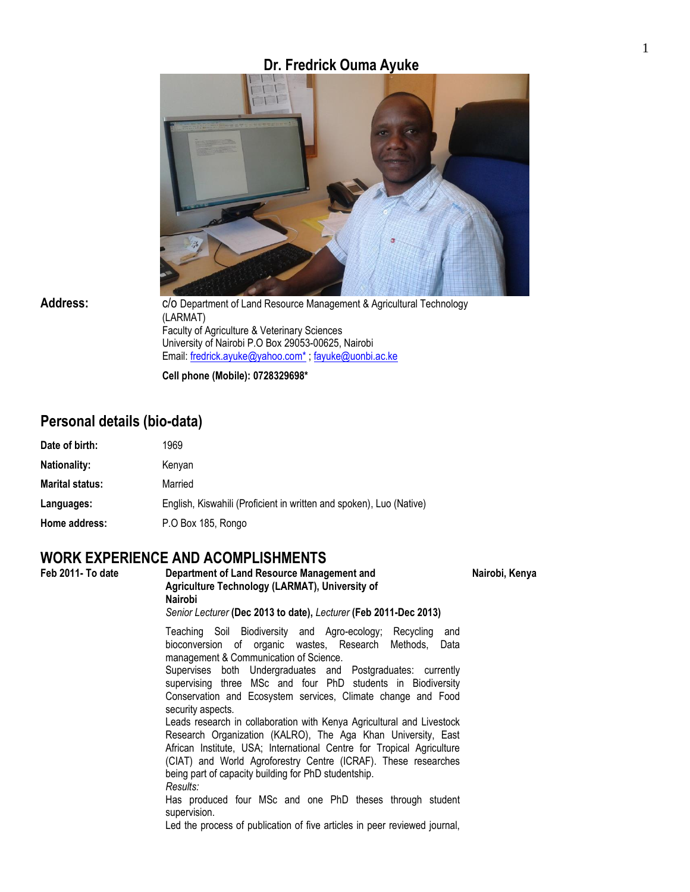#### **Dr. Fredrick Ouma Ayuke**



Address: c/o Department of Land Resource Management & Agricultural Technology (LARMAT) Faculty of Agriculture & Veterinary Sciences University of Nairobi P.O Box 29053-00625, Nairobi Email: [fredrick.ayuke@yahoo.com\\*](mailto:fredrick.ayuke@yahoo.com*) [; fayuke@uonbi.ac.ke](mailto:fayuke@uonbi.ac.ke)

**Cell phone (Mobile): 0728329698\***

#### **Personal details (bio-data)**

| Date of birth:         | 1969                                                                |
|------------------------|---------------------------------------------------------------------|
| <b>Nationality:</b>    | Kenyan                                                              |
| <b>Marital status:</b> | Married                                                             |
| Languages:             | English, Kiswahili (Proficient in written and spoken), Luo (Native) |
| Home address:          | P.O Box 185, Rongo                                                  |

# **WORK EXPERIENCE AND ACOMPLISHMENTS**<br>Feb 2011- To date **Department of Land Resource Manag**

**Feb 2011- To date Department of Land Resource Management and Agriculture Technology (LARMAT), University of Nairobi Nairobi, Kenya** *Senior Lecturer* **(Dec 2013 to date),** *Lecturer* **(Feb 2011-Dec 2013)**  Teaching Soil Biodiversity and Agro-ecology; Recycling and bioconversion of organic wastes, Research Methods, Data management & Communication of Science. Supervises both Undergraduates and Postgraduates: currently supervising three MSc and four PhD students in Biodiversity Conservation and Ecosystem services, Climate change and Food security aspects. Leads research in collaboration with Kenya Agricultural and Livestock Research Organization (KALRO), The Aga Khan University, East African Institute, USA; International Centre for Tropical Agriculture (CIAT) and World Agroforestry Centre (ICRAF). These researches being part of capacity building for PhD studentship. *Results:* Has produced four MSc and one PhD theses through student supervision. Led the process of publication of five articles in peer reviewed journal,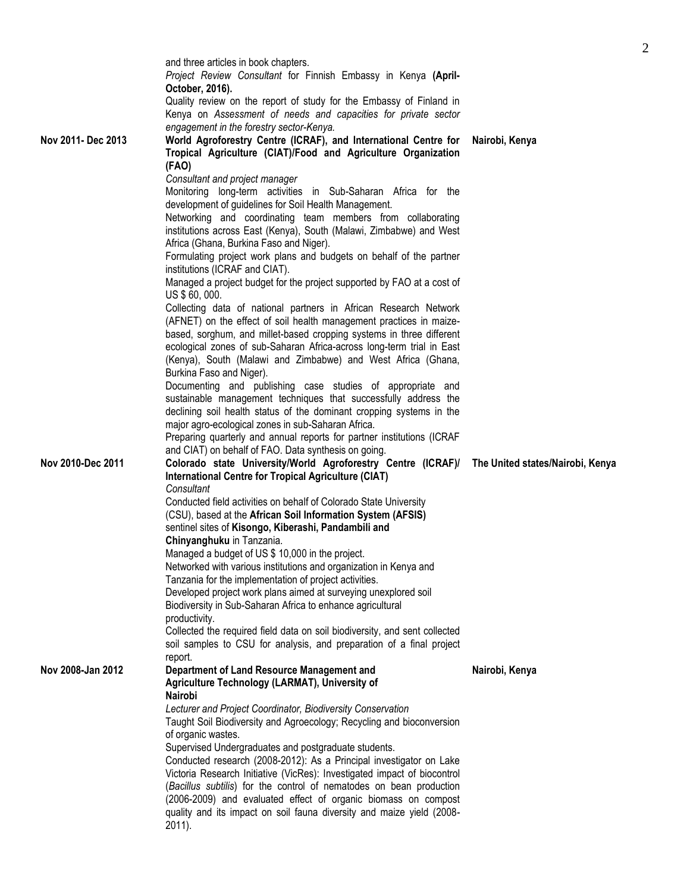|                    | and three articles in book chapters.                                                          |                |
|--------------------|-----------------------------------------------------------------------------------------------|----------------|
|                    | Project Review Consultant for Finnish Embassy in Kenya (April-                                |                |
|                    | October, 2016).                                                                               |                |
|                    | Quality review on the report of study for the Embassy of Finland in                           |                |
|                    | Kenya on Assessment of needs and capacities for private sector                                |                |
|                    | engagement in the forestry sector-Kenya.                                                      |                |
| Nov 2011- Dec 2013 | World Agroforestry Centre (ICRAF), and International Centre for                               | Nairobi, Kenya |
|                    | Tropical Agriculture (CIAT)/Food and Agriculture Organization<br>(FAO)                        |                |
|                    | Consultant and project manager                                                                |                |
|                    | Monitoring long-term activities in Sub-Saharan Africa for the                                 |                |
|                    | development of guidelines for Soil Health Management.                                         |                |
|                    | Networking and coordinating team members from collaborating                                   |                |
|                    | institutions across East (Kenya), South (Malawi, Zimbabwe) and West                           |                |
|                    | Africa (Ghana, Burkina Faso and Niger).                                                       |                |
|                    | Formulating project work plans and budgets on behalf of the partner                           |                |
|                    | institutions (ICRAF and CIAT).                                                                |                |
|                    | Managed a project budget for the project supported by FAO at a cost of                        |                |
|                    | US \$60,000.                                                                                  |                |
|                    | Collecting data of national partners in African Research Network                              |                |
|                    | (AFNET) on the effect of soil health management practices in maize-                           |                |
|                    | based, sorghum, and millet-based cropping systems in three different                          |                |
|                    | ecological zones of sub-Saharan Africa-across long-term trial in East                         |                |
|                    | (Kenya), South (Malawi and Zimbabwe) and West Africa (Ghana,<br>Burkina Faso and Niger).      |                |
|                    | Documenting and publishing case studies of appropriate and                                    |                |
|                    | sustainable management techniques that successfully address the                               |                |
|                    | declining soil health status of the dominant cropping systems in the                          |                |
|                    | major agro-ecological zones in sub-Saharan Africa.                                            |                |
|                    | Preparing quarterly and annual reports for partner institutions (ICRAF                        |                |
|                    |                                                                                               |                |
|                    | and CIAT) on behalf of FAO. Data synthesis on going.                                          |                |
| Nov 2010-Dec 2011  | Colorado state University/World Agroforestry Centre (ICRAF)/ The United states/Nairobi, Kenya |                |
|                    | International Centre for Tropical Agriculture (CIAT)                                          |                |
|                    | Consultant                                                                                    |                |
|                    | Conducted field activities on behalf of Colorado State University                             |                |
|                    | (CSU), based at the African Soil Information System (AFSIS)                                   |                |
|                    | sentinel sites of Kisongo, Kiberashi, Pandambili and                                          |                |
|                    | Chinyanghuku in Tanzania.                                                                     |                |
|                    | Managed a budget of US \$ 10,000 in the project.                                              |                |
|                    | Networked with various institutions and organization in Kenya and                             |                |
|                    | Tanzania for the implementation of project activities.                                        |                |
|                    | Developed project work plans aimed at surveying unexplored soil                               |                |
|                    | Biodiversity in Sub-Saharan Africa to enhance agricultural                                    |                |
|                    | productivity.                                                                                 |                |
|                    | Collected the required field data on soil biodiversity, and sent collected                    |                |
|                    | soil samples to CSU for analysis, and preparation of a final project<br>report.               |                |
| Nov 2008-Jan 2012  | Department of Land Resource Management and                                                    | Nairobi, Kenya |
|                    | Agriculture Technology (LARMAT), University of                                                |                |
|                    | Nairobi                                                                                       |                |
|                    | Lecturer and Project Coordinator, Biodiversity Conservation                                   |                |
|                    | Taught Soil Biodiversity and Agroecology; Recycling and bioconversion                         |                |
|                    | of organic wastes.                                                                            |                |
|                    | Supervised Undergraduates and postgraduate students.                                          |                |
|                    | Conducted research (2008-2012): As a Principal investigator on Lake                           |                |
|                    | Victoria Research Initiative (VicRes): Investigated impact of biocontrol                      |                |
|                    | (Bacillus subtilis) for the control of nematodes on bean production                           |                |
|                    | (2006-2009) and evaluated effect of organic biomass on compost                                |                |
|                    | quality and its impact on soil fauna diversity and maize yield (2008-<br>2011).               |                |

2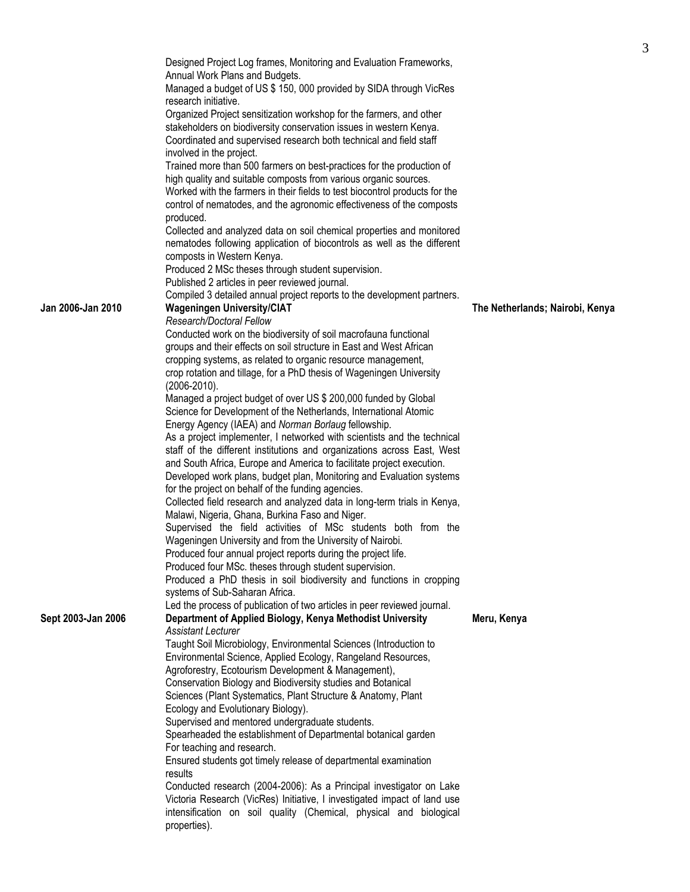|                    | Designed Project Log frames, Monitoring and Evaluation Frameworks,                                                                        |                                 |
|--------------------|-------------------------------------------------------------------------------------------------------------------------------------------|---------------------------------|
|                    | Annual Work Plans and Budgets.                                                                                                            |                                 |
|                    | Managed a budget of US \$ 150, 000 provided by SIDA through VicRes                                                                        |                                 |
|                    | research initiative.                                                                                                                      |                                 |
|                    | Organized Project sensitization workshop for the farmers, and other<br>stakeholders on biodiversity conservation issues in western Kenya. |                                 |
|                    | Coordinated and supervised research both technical and field staff                                                                        |                                 |
|                    | involved in the project.                                                                                                                  |                                 |
|                    | Trained more than 500 farmers on best-practices for the production of                                                                     |                                 |
|                    | high quality and suitable composts from various organic sources.                                                                          |                                 |
|                    | Worked with the farmers in their fields to test biocontrol products for the                                                               |                                 |
|                    | control of nematodes, and the agronomic effectiveness of the composts                                                                     |                                 |
|                    | produced.                                                                                                                                 |                                 |
|                    | Collected and analyzed data on soil chemical properties and monitored                                                                     |                                 |
|                    | nematodes following application of biocontrols as well as the different                                                                   |                                 |
|                    | composts in Western Kenya.                                                                                                                |                                 |
|                    | Produced 2 MSc theses through student supervision.<br>Published 2 articles in peer reviewed journal.                                      |                                 |
|                    | Compiled 3 detailed annual project reports to the development partners.                                                                   |                                 |
| Jan 2006-Jan 2010  | <b>Wageningen University/CIAT</b>                                                                                                         | The Netherlands; Nairobi, Kenya |
|                    | Research/Doctoral Fellow                                                                                                                  |                                 |
|                    | Conducted work on the biodiversity of soil macrofauna functional                                                                          |                                 |
|                    | groups and their effects on soil structure in East and West African                                                                       |                                 |
|                    | cropping systems, as related to organic resource management,                                                                              |                                 |
|                    | crop rotation and tillage, for a PhD thesis of Wageningen University                                                                      |                                 |
|                    | $(2006 - 2010)$ .                                                                                                                         |                                 |
|                    | Managed a project budget of over US \$ 200,000 funded by Global                                                                           |                                 |
|                    | Science for Development of the Netherlands, International Atomic<br>Energy Agency (IAEA) and Norman Borlaug fellowship.                   |                                 |
|                    | As a project implementer, I networked with scientists and the technical                                                                   |                                 |
|                    | staff of the different institutions and organizations across East, West                                                                   |                                 |
|                    | and South Africa, Europe and America to facilitate project execution.                                                                     |                                 |
|                    | Developed work plans, budget plan, Monitoring and Evaluation systems                                                                      |                                 |
|                    | for the project on behalf of the funding agencies.                                                                                        |                                 |
|                    | Collected field research and analyzed data in long-term trials in Kenya,                                                                  |                                 |
|                    | Malawi, Nigeria, Ghana, Burkina Faso and Niger.                                                                                           |                                 |
|                    | Supervised the field activities of MSc students both from the                                                                             |                                 |
|                    | Wageningen University and from the University of Nairobi.                                                                                 |                                 |
|                    | Produced four annual project reports during the project life.                                                                             |                                 |
|                    | Produced four MSc. theses through student supervision.<br>Produced a PhD thesis in soil biodiversity and functions in cropping            |                                 |
|                    | systems of Sub-Saharan Africa.                                                                                                            |                                 |
|                    | Led the process of publication of two articles in peer reviewed journal.                                                                  |                                 |
| Sept 2003-Jan 2006 | Department of Applied Biology, Kenya Methodist University                                                                                 | Meru, Kenya                     |
|                    | <b>Assistant Lecturer</b>                                                                                                                 |                                 |
|                    | Taught Soil Microbiology, Environmental Sciences (Introduction to                                                                         |                                 |
|                    | Environmental Science, Applied Ecology, Rangeland Resources,                                                                              |                                 |
|                    | Agroforestry, Ecotourism Development & Management),                                                                                       |                                 |
|                    | Conservation Biology and Biodiversity studies and Botanical                                                                               |                                 |
|                    | Sciences (Plant Systematics, Plant Structure & Anatomy, Plant<br>Ecology and Evolutionary Biology).                                       |                                 |
|                    | Supervised and mentored undergraduate students.                                                                                           |                                 |
|                    | Spearheaded the establishment of Departmental botanical garden                                                                            |                                 |
|                    | For teaching and research.                                                                                                                |                                 |
|                    | Ensured students got timely release of departmental examination                                                                           |                                 |
|                    | results                                                                                                                                   |                                 |
|                    | Conducted research (2004-2006): As a Principal investigator on Lake                                                                       |                                 |
|                    | Victoria Research (VicRes) Initiative, I investigated impact of land use                                                                  |                                 |
|                    | intensification on soil quality (Chemical, physical and biological                                                                        |                                 |
|                    | properties).                                                                                                                              |                                 |

3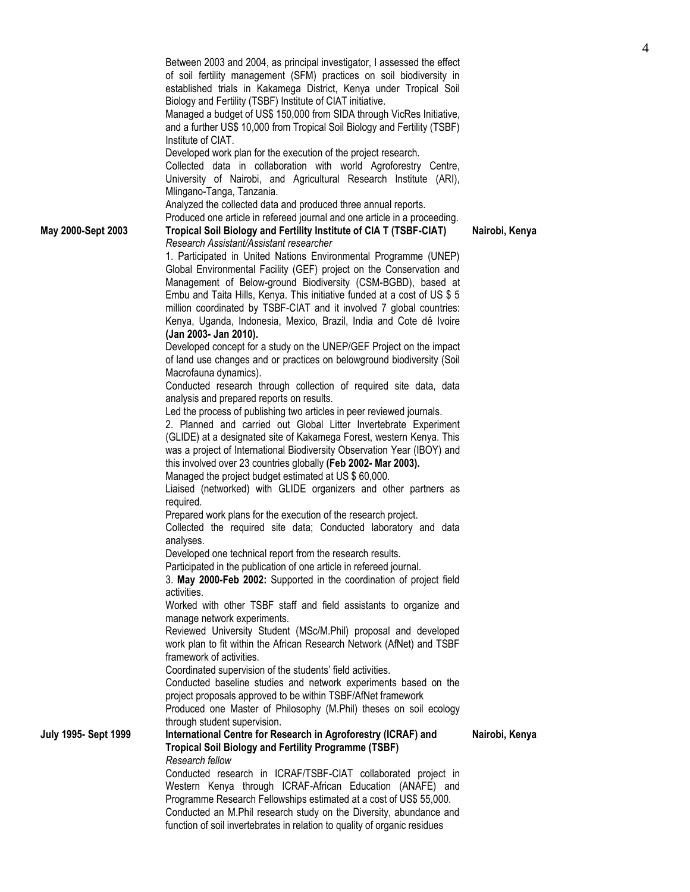| May 2000-Sept 2003          | Between 2003 and 2004, as principal investigator, I assessed the effect<br>of soil fertility management (SFM) practices on soil biodiversity in<br>established trials in Kakamega District, Kenya under Tropical Soil<br>Biology and Fertility (TSBF) Institute of CIAT initiative.<br>Managed a budget of US\$ 150,000 from SIDA through VicRes Initiative,<br>and a further US\$ 10,000 from Tropical Soil Biology and Fertility (TSBF)<br>Institute of CIAT.<br>Developed work plan for the execution of the project research.<br>Collected data in collaboration with world Agroforestry Centre,<br>University of Nairobi, and Agricultural Research Institute (ARI),<br>Mlingano-Tanga, Tanzania.<br>Analyzed the collected data and produced three annual reports.<br>Produced one article in refereed journal and one article in a proceeding.<br>Tropical Soil Biology and Fertility Institute of CIA T (TSBF-CIAT)<br>Research Assistant/Assistant researcher<br>1. Participated in United Nations Environmental Programme (UNEP)<br>Global Environmental Facility (GEF) project on the Conservation and<br>Management of Below-ground Biodiversity (CSM-BGBD), based at<br>Embu and Taita Hills, Kenya. This initiative funded at a cost of US \$ 5<br>million coordinated by TSBF-CIAT and it involved 7 global countries:<br>Kenya, Uganda, Indonesia, Mexico, Brazil, India and Cote dê Ivoire<br>(Jan 2003- Jan 2010).<br>Developed concept for a study on the UNEP/GEF Project on the impact<br>of land use changes and or practices on belowground biodiversity (Soil<br>Macrofauna dynamics).<br>Conducted research through collection of required site data, data<br>analysis and prepared reports on results.<br>Led the process of publishing two articles in peer reviewed journals.<br>2. Planned and carried out Global Litter Invertebrate Experiment<br>(GLIDE) at a designated site of Kakamega Forest, western Kenya. This<br>was a project of International Biodiversity Observation Year (IBOY) and<br>this involved over 23 countries globally (Feb 2002- Mar 2003).<br>Managed the project budget estimated at US \$60,000.<br>Liaised (networked) with GLIDE organizers and other partners as<br>required.<br>Prepared work plans for the execution of the research project.<br>Collected the required site data; Conducted laboratory and data<br>analyses.<br>Developed one technical report from the research results.<br>Participated in the publication of one article in refereed journal.<br>3. May 2000-Feb 2002: Supported in the coordination of project field<br>activities.<br>Worked with other TSBF staff and field assistants to organize and | Nairobi, Kenya |
|-----------------------------|----------------------------------------------------------------------------------------------------------------------------------------------------------------------------------------------------------------------------------------------------------------------------------------------------------------------------------------------------------------------------------------------------------------------------------------------------------------------------------------------------------------------------------------------------------------------------------------------------------------------------------------------------------------------------------------------------------------------------------------------------------------------------------------------------------------------------------------------------------------------------------------------------------------------------------------------------------------------------------------------------------------------------------------------------------------------------------------------------------------------------------------------------------------------------------------------------------------------------------------------------------------------------------------------------------------------------------------------------------------------------------------------------------------------------------------------------------------------------------------------------------------------------------------------------------------------------------------------------------------------------------------------------------------------------------------------------------------------------------------------------------------------------------------------------------------------------------------------------------------------------------------------------------------------------------------------------------------------------------------------------------------------------------------------------------------------------------------------------------------------------------------------------------------------------------------------------------------------------------------------------------------------------------------------------------------------------------------------------------------------------------------------------------------------------------------------------------------------------------------------------------------------------------------------------------------------------------------------------------------------------------------------------------------------------------------------|----------------|
|                             | manage network experiments.<br>Reviewed University Student (MSc/M.Phil) proposal and developed<br>work plan to fit within the African Research Network (AfNet) and TSBF<br>framework of activities.                                                                                                                                                                                                                                                                                                                                                                                                                                                                                                                                                                                                                                                                                                                                                                                                                                                                                                                                                                                                                                                                                                                                                                                                                                                                                                                                                                                                                                                                                                                                                                                                                                                                                                                                                                                                                                                                                                                                                                                                                                                                                                                                                                                                                                                                                                                                                                                                                                                                                          |                |
|                             | Coordinated supervision of the students' field activities.<br>Conducted baseline studies and network experiments based on the<br>project proposals approved to be within TSBF/AfNet framework<br>Produced one Master of Philosophy (M.Phil) theses on soil ecology<br>through student supervision.                                                                                                                                                                                                                                                                                                                                                                                                                                                                                                                                                                                                                                                                                                                                                                                                                                                                                                                                                                                                                                                                                                                                                                                                                                                                                                                                                                                                                                                                                                                                                                                                                                                                                                                                                                                                                                                                                                                                                                                                                                                                                                                                                                                                                                                                                                                                                                                           |                |
| <b>July 1995- Sept 1999</b> | International Centre for Research in Agroforestry (ICRAF) and<br>Tropical Soil Biology and Fertility Programme (TSBF)<br>Research fellow<br>Conducted research in ICRAF/TSBF-CIAT collaborated project in<br>Western Kenya through ICRAF-African Education (ANAFE) and<br>Programme Research Fellowships estimated at a cost of US\$ 55,000.<br>Conducted an M.Phil research study on the Diversity, abundance and                                                                                                                                                                                                                                                                                                                                                                                                                                                                                                                                                                                                                                                                                                                                                                                                                                                                                                                                                                                                                                                                                                                                                                                                                                                                                                                                                                                                                                                                                                                                                                                                                                                                                                                                                                                                                                                                                                                                                                                                                                                                                                                                                                                                                                                                           | Nairobi, Kenya |

function of soil invertebrates in relation to quality of organic residues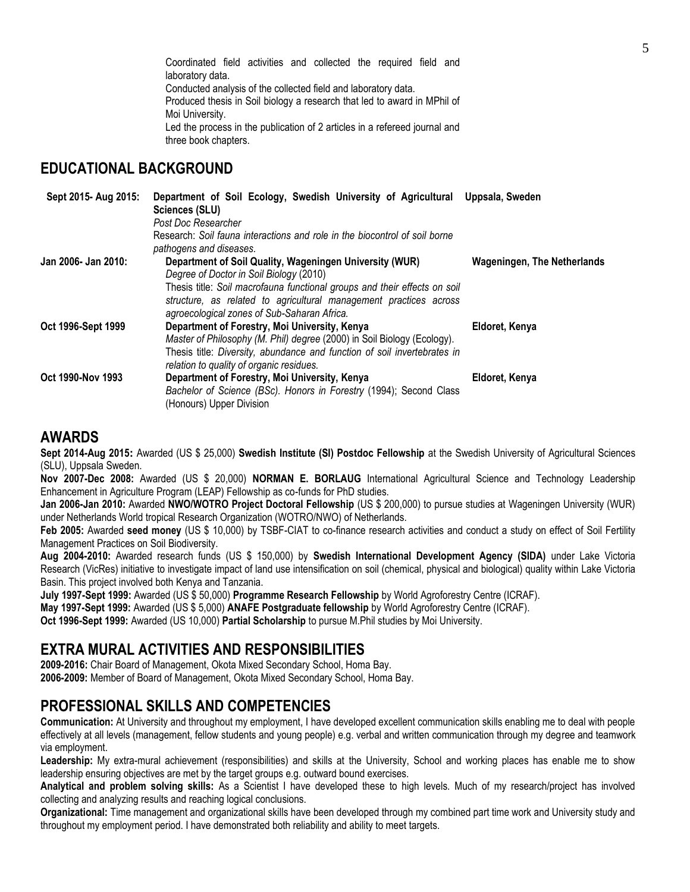Coordinated field activities and collected the required field and laboratory data. Conducted analysis of the collected field and laboratory data. Produced thesis in Soil biology a research that led to award in MPhil of Moi University. Led the process in the publication of 2 articles in a refereed journal and three book chapters.

### **EDUCATIONAL BACKGROUND**

| Sept 2015- Aug 2015: | Department of Soil Ecology, Swedish University of Agricultural<br><b>Sciences (SLU)</b>                                                                                                                                                          | Uppsala, Sweden                    |
|----------------------|--------------------------------------------------------------------------------------------------------------------------------------------------------------------------------------------------------------------------------------------------|------------------------------------|
|                      | Post Doc Researcher                                                                                                                                                                                                                              |                                    |
|                      | Research: Soil fauna interactions and role in the biocontrol of soil borne                                                                                                                                                                       |                                    |
|                      | pathogens and diseases.                                                                                                                                                                                                                          |                                    |
| Jan 2006- Jan 2010:  | Department of Soil Quality, Wageningen University (WUR)<br>Degree of Doctor in Soil Biology (2010)                                                                                                                                               | <b>Wageningen, The Netherlands</b> |
|                      | Thesis title: Soil macrofauna functional groups and their effects on soil<br>structure, as related to agricultural management practices across<br>agroecological zones of Sub-Saharan Africa.                                                    |                                    |
| Oct 1996-Sept 1999   | Department of Forestry, Moi University, Kenya<br>Master of Philosophy (M. Phil) degree (2000) in Soil Biology (Ecology).<br>Thesis title: Diversity, abundance and function of soil invertebrates in<br>relation to quality of organic residues. | Eldoret, Kenya                     |
| Oct 1990-Nov 1993    | Department of Forestry, Moi University, Kenya<br>Bachelor of Science (BSc). Honors in Forestry (1994); Second Class<br>(Honours) Upper Division                                                                                                  | Eldoret, Kenya                     |

#### **AWARDS**

**Sept 2014-Aug 2015:** Awarded (US \$ 25,000) **Swedish Institute (SI) Postdoc Fellowship** at the Swedish University of Agricultural Sciences (SLU), Uppsala Sweden.

**Nov 2007-Dec 2008:** Awarded (US \$ 20,000) **NORMAN E. BORLAUG** International Agricultural Science and Technology Leadership Enhancement in Agriculture Program (LEAP) Fellowship as co-funds for PhD studies.

**Jan 2006-Jan 2010:** Awarded **NWO/WOTRO Project Doctoral Fellowship** (US \$ 200,000) to pursue studies at Wageningen University (WUR) under Netherlands World tropical Research Organization (WOTRO/NWO) of Netherlands.

**Feb 2005:** Awarded **seed money** (US \$ 10,000) by TSBF-CIAT to co-finance research activities and conduct a study on effect of Soil Fertility Management Practices on Soil Biodiversity.

**Aug 2004-2010:** Awarded research funds (US \$ 150,000) by **Swedish International Development Agency (SIDA)** under Lake Victoria Research (VicRes) initiative to investigate impact of land use intensification on soil (chemical, physical and biological) quality within Lake Victoria Basin. This project involved both Kenya and Tanzania.

**July 1997-Sept 1999:** Awarded (US \$ 50,000) **Programme Research Fellowship** by World Agroforestry Centre (ICRAF).

**May 1997-Sept 1999:** Awarded (US \$ 5,000) **ANAFE Postgraduate fellowship** by World Agroforestry Centre (ICRAF).

**Oct 1996-Sept 1999:** Awarded (US 10,000) **Partial Scholarship** to pursue M.Phil studies by Moi University.

## **EXTRA MURAL ACTIVITIES AND RESPONSIBILITIES**

**2009-2016:** Chair Board of Management, Okota Mixed Secondary School, Homa Bay. **2006-2009:** Member of Board of Management, Okota Mixed Secondary School, Homa Bay.

## **PROFESSIONAL SKILLS AND COMPETENCIES**

**Communication:** At University and throughout my employment, I have developed excellent communication skills enabling me to deal with people effectively at all levels (management, fellow students and young people) e.g. verbal and written communication through my degree and teamwork via employment.

**Leadership:** My extra-mural achievement (responsibilities) and skills at the University, School and working places has enable me to show leadership ensuring objectives are met by the target groups e.g. outward bound exercises.

**Analytical and problem solving skills:** As a Scientist I have developed these to high levels. Much of my research/project has involved collecting and analyzing results and reaching logical conclusions.

**Organizational:** Time management and organizational skills have been developed through my combined part time work and University study and throughout my employment period. I have demonstrated both reliability and ability to meet targets.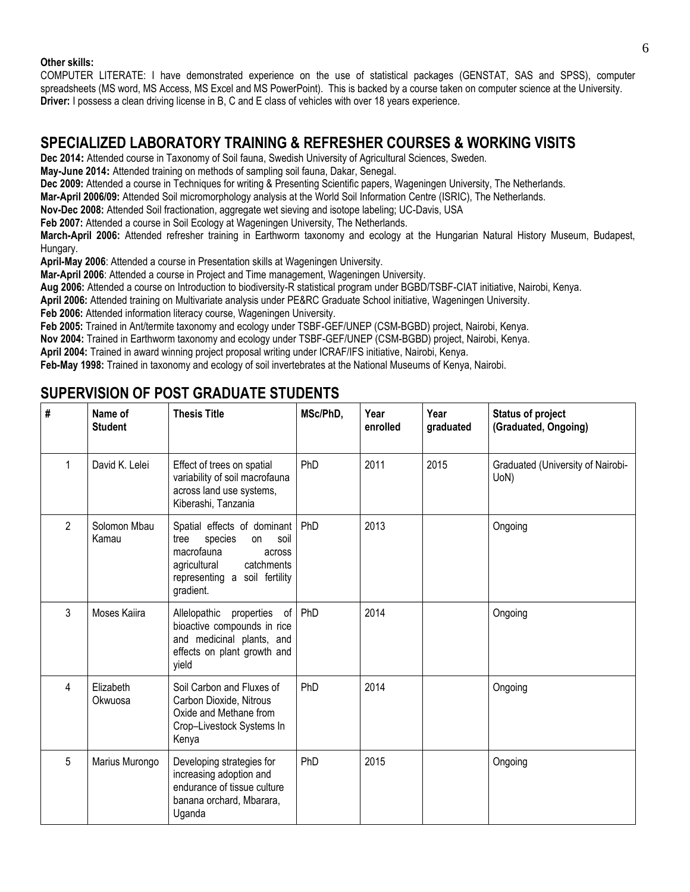#### **Other skills:**

COMPUTER LITERATE: I have demonstrated experience on the use of statistical packages (GENSTAT, SAS and SPSS), computer spreadsheets (MS word, MS Access, MS Excel and MS PowerPoint). This is backed by a course taken on computer science at the University. **Driver:** I possess a clean driving license in B, C and E class of vehicles with over 18 years experience.

#### **SPECIALIZED LABORATORY TRAINING & REFRESHER COURSES & WORKING VISITS**

**Dec 2014:** Attended course in Taxonomy of Soil fauna, Swedish University of Agricultural Sciences, Sweden.

**May-June 2014:** Attended training on methods of sampling soil fauna, Dakar, Senegal.

**Dec 2009:** Attended a course in Techniques for writing & Presenting Scientific papers, Wageningen University, The Netherlands.

**Mar-April 2006/09:** Attended Soil micromorphology analysis at the World Soil Information Centre (ISRIC), The Netherlands.

**Nov-Dec 2008:** Attended Soil fractionation, aggregate wet sieving and isotope labeling; UC-Davis, USA

**Feb 2007:** Attended a course in Soil Ecology at Wageningen University, The Netherlands.

**March-April 2006:** Attended refresher training in Earthworm taxonomy and ecology at the Hungarian Natural History Museum, Budapest, Hungary.

**April-May 2006**: Attended a course in Presentation skills at Wageningen University.

**Mar-April 2006**: Attended a course in Project and Time management, Wageningen University.

**Aug 2006:** Attended a course on Introduction to biodiversity-R statistical program under BGBD/TSBF-CIAT initiative, Nairobi, Kenya.

**April 2006:** Attended training on Multivariate analysis under PE&RC Graduate School initiative, Wageningen University.

**Feb 2006:** Attended information literacy course, Wageningen University.

**Feb 2005:** Trained in Ant/termite taxonomy and ecology under TSBF-GEF/UNEP (CSM-BGBD) project, Nairobi, Kenya.

**Nov 2004:** Trained in Earthworm taxonomy and ecology under TSBF-GEF/UNEP (CSM-BGBD) project, Nairobi, Kenya.

**April 2004:** Trained in award winning project proposal writing under ICRAF/IFS initiative, Nairobi, Kenya.

**Feb-May 1998:** Trained in taxonomy and ecology of soil invertebrates at the National Museums of Kenya, Nairobi.

## **SUPERVISION OF POST GRADUATE STUDENTS**

| #              | Name of<br><b>Student</b> | <b>Thesis Title</b>                                                                                                                                              | MSc/PhD, | Year<br>enrolled | Year<br>graduated | <b>Status of project</b><br>(Graduated, Ongoing) |
|----------------|---------------------------|------------------------------------------------------------------------------------------------------------------------------------------------------------------|----------|------------------|-------------------|--------------------------------------------------|
| 1              | David K. Lelei            | Effect of trees on spatial<br>variability of soil macrofauna<br>across land use systems,<br>Kiberashi, Tanzania                                                  | PhD      | 2011             | 2015              | Graduated (University of Nairobi-<br>UoN)        |
| $\overline{2}$ | Solomon Mbau<br>Kamau     | Spatial effects of dominant<br>species<br>tree<br>soil<br>on<br>macrofauna<br>across<br>catchments<br>agricultural<br>representing a soil fertility<br>gradient. | PhD      | 2013             |                   | Ongoing                                          |
| 3              | Moses Kaiira              | Allelopathic<br>properties<br>of<br>bioactive compounds in rice<br>and medicinal plants, and<br>effects on plant growth and<br>yield                             | PhD      | 2014             |                   | Ongoing                                          |
| 4              | Elizabeth<br>Okwuosa      | Soil Carbon and Fluxes of<br>Carbon Dioxide, Nitrous<br>Oxide and Methane from<br>Crop-Livestock Systems In<br>Kenya                                             | PhD      | 2014             |                   | Ongoing                                          |
| 5              | Marius Murongo            | Developing strategies for<br>increasing adoption and<br>endurance of tissue culture<br>banana orchard, Mbarara,<br>Uganda                                        | PhD      | 2015             |                   | Ongoing                                          |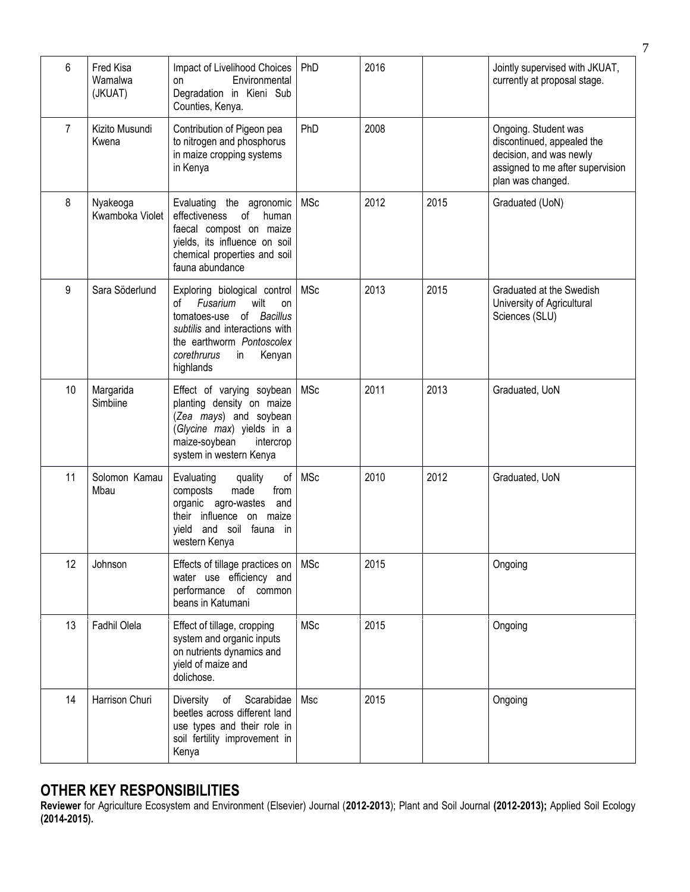| 6              | Fred Kisa<br>Wamalwa<br>(JKUAT) | Impact of Livelihood Choices<br>Environmental<br>on<br>Degradation in Kieni Sub<br>Counties, Kenya.                                                                                                 | PhD        | 2016 |      | Jointly supervised with JKUAT,<br>currently at proposal stage.                                                                         |
|----------------|---------------------------------|-----------------------------------------------------------------------------------------------------------------------------------------------------------------------------------------------------|------------|------|------|----------------------------------------------------------------------------------------------------------------------------------------|
| $\overline{7}$ | Kizito Musundi<br>Kwena         | Contribution of Pigeon pea<br>to nitrogen and phosphorus<br>in maize cropping systems<br>in Kenya                                                                                                   | PhD        | 2008 |      | Ongoing. Student was<br>discontinued, appealed the<br>decision, and was newly<br>assigned to me after supervision<br>plan was changed. |
| 8              | Nyakeoga<br>Kwamboka Violet     | Evaluating the agronomic<br>of human<br>effectiveness<br>faecal compost on maize<br>yields, its influence on soil<br>chemical properties and soil<br>fauna abundance                                | <b>MSc</b> | 2012 | 2015 | Graduated (UoN)                                                                                                                        |
| 9              | Sara Söderlund                  | Exploring biological control<br>Fusarium<br>wilt<br>of<br>on<br>tomatoes-use of Bacillus<br>subtilis and interactions with<br>the earthworm Pontoscolex<br>corethrurus<br>Kenyan<br>in<br>highlands | <b>MSc</b> | 2013 | 2015 | Graduated at the Swedish<br>University of Agricultural<br>Sciences (SLU)                                                               |
| 10             | Margarida<br>Simbiine           | Effect of varying soybean<br>planting density on maize<br>(Zea mays) and soybean<br>(Glycine max) yields in a<br>maize-soybean<br>intercrop<br>system in western Kenya                              | <b>MSc</b> | 2011 | 2013 | Graduated, UoN                                                                                                                         |
| 11             | Solomon Kamau<br>Mbau           | of<br>Evaluating<br>quality<br>made<br>composts<br>from<br>organic agro-wastes<br>and<br>their influence<br>on maize<br>yield and soil fauna in<br>western Kenya                                    | <b>MSc</b> | 2010 | 2012 | Graduated, UoN                                                                                                                         |
| 12             | Johnson                         | Effects of tillage practices on<br>water use efficiency and<br>performance<br>of common<br>beans in Katumani                                                                                        | MSc        | 2015 |      | Ongoing                                                                                                                                |
| 13             | Fadhil Olela                    | Effect of tillage, cropping<br>system and organic inputs<br>on nutrients dynamics and<br>yield of maize and<br>dolichose.                                                                           | <b>MSc</b> | 2015 |      | Ongoing                                                                                                                                |
| 14             | Harrison Churi                  | Scarabidae<br><b>Diversity</b><br>of<br>beetles across different land<br>use types and their role in<br>soil fertility improvement in<br>Kenya                                                      | Msc        | 2015 |      | Ongoing                                                                                                                                |

## **OTHER KEY RESPONSIBILITIES**

**Reviewer** for Agriculture Ecosystem and Environment (Elsevier) Journal (**2012-2013**); Plant and Soil Journal **(2012-2013);** Applied Soil Ecology **(2014-2015).**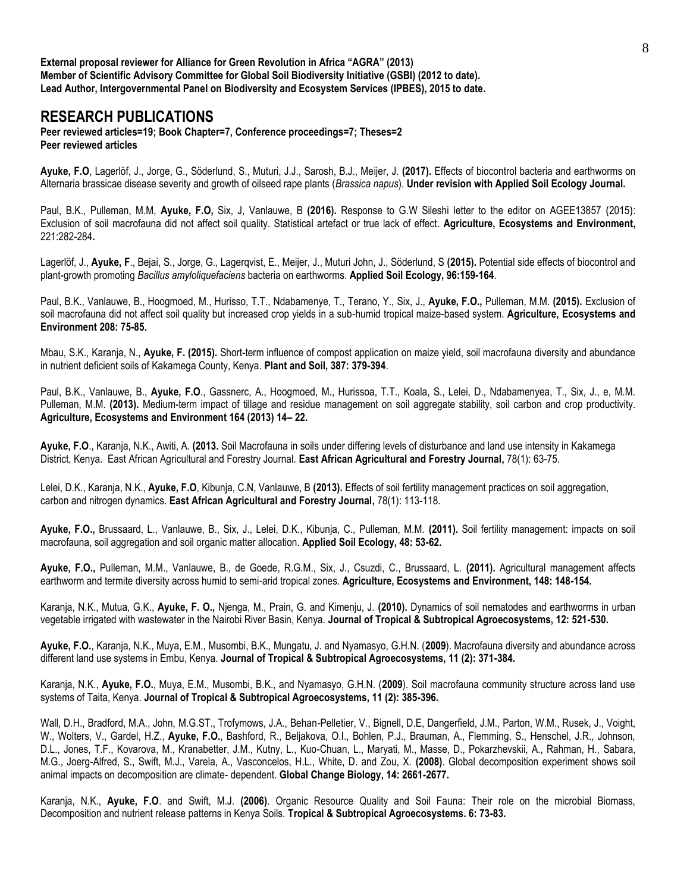**External proposal reviewer for Alliance for Green Revolution in Africa "AGRA" (2013) Member of Scientific Advisory Committee for Global Soil Biodiversity Initiative (GSBI) (2012 to date). Lead Author, Intergovernmental Panel on Biodiversity and Ecosystem Services (IPBES), 2015 to date.**

#### **RESEARCH PUBLICATIONS**

**Peer reviewed articles=19; Book Chapter=7, Conference proceedings=7; Theses=2 Peer reviewed articles**

**Ayuke, F.O**, Lagerlöf, J., Jorge, G., Söderlund, S., Muturi, J.J., Sarosh, B.J., Meijer, J. **(2017).** Effects of biocontrol bacteria and earthworms on Alternaria brassicae disease severity and growth of oilseed rape plants (*Brassica napus*). **Under revision with Applied Soil Ecology Journal.** 

Paul, B.K., Pulleman, M.M, **Ayuke, F.O,** Six, J, Vanlauwe, B **(2016).** Response to G.W Sileshi letter to the editor on AGEE13857 (2015): Exclusion of soil macrofauna did not affect soil quality. Statistical artefact or true lack of effect. **Agriculture, Ecosystems and Environment,**  221:282-284**.**

Lagerlöf, J., **Ayuke, F**., Bejai, S., Jorge, G., Lagerqvist, E., Meijer, J., Muturi John, J., Söderlund, S **(2015).** Potential side effects of biocontrol and plant-growth promoting *Bacillus amyloliquefaciens* bacteria on earthworms. **Applied Soil Ecology, 96:159-164**.

Paul, B.K., Vanlauwe, B., Hoogmoed, M., Hurisso, T.T., Ndabamenye, T., Terano, Y., Six, J., **Ayuke, F.O.,** Pulleman, M.M. **(2015).** Exclusion of soil macrofauna did not affect soil quality but increased crop yields in a sub-humid tropical maize-based system. **Agriculture, Ecosystems and Environment 208: 75-85.**

Mbau, S.K., Karanja, N., **Ayuke, F. (2015).** Short-term influence of compost application on maize yield, soil macrofauna diversity and abundance in nutrient deficient soils of Kakamega County, Kenya. **Plant and Soil, 387: 379-394**.

Paul, B.K., Vanlauwe, B., **Ayuke, F.O**., Gassnerc, A., Hoogmoed, M., Hurissoa, T.T., Koala, S., Lelei, D., Ndabamenyea, T., Six, J., e, M.M. Pulleman, M.M. **(2013).** Medium-term impact of tillage and residue management on soil aggregate stability, soil carbon and crop productivity. **Agriculture, Ecosystems and Environment 164 (2013) 14– 22.**

**Ayuke, F.O**., Karanja, N.K., Awiti, A. **(2013.** Soil Macrofauna in soils under differing levels of disturbance and land use intensity in Kakamega District, Kenya. East African Agricultural and Forestry Journal. **East African Agricultural and Forestry Journal,** 78(1): 63-75.

Lelei, D.K., Karanja, N.K., **Ayuke, F.O**, Kibunja, C.N, Vanlauwe, B **(2013).** Effects of soil fertility management practices on soil aggregation, carbon and nitrogen dynamics. **East African Agricultural and Forestry Journal,** 78(1): 113-118.

**Ayuke, F.O.,** Brussaard, L., Vanlauwe, B., Six, J., Lelei, D.K., Kibunja, C., Pulleman, M.M. **(2011).** Soil fertility management: impacts on soil macrofauna, soil aggregation and soil organic matter allocation. **Applied Soil Ecology, 48: 53-62.**

**Ayuke, F.O.,** Pulleman, M.M., Vanlauwe, B., de Goede, R.G.M., Six, J., Csuzdi, C., Brussaard, L. **(2011).** Agricultural management affects earthworm and termite diversity across humid to semi-arid tropical zones. **Agriculture, Ecosystems and Environment, 148: 148-154.**

Karanja, N.K., Mutua, G.K., **Ayuke, F. O.,** Njenga, M., Prain, G. and Kimenju, J. **(2010).** Dynamics of soil nematodes and earthworms in urban vegetable irrigated with wastewater in the Nairobi River Basin, Kenya. **Journal of Tropical & Subtropical Agroecosystems, 12: 521-530.** 

**Ayuke, F.O.**, Karanja, N.K., Muya, E.M., Musombi, B.K., Mungatu, J. and Nyamasyo, G.H.N. (**2009**). Macrofauna diversity and abundance across different land use systems in Embu, Kenya. **Journal of Tropical & Subtropical Agroecosystems, 11 (2): 371-384.** 

Karanja, N.K., **Ayuke, F.O.**, Muya, E.M., Musombi, B.K., and Nyamasyo, G.H.N. (**2009**). Soil macrofauna community structure across land use systems of Taita, Kenya. **Journal of Tropical & Subtropical Agroecosystems, 11 (2): 385-396.**

Wall, D.H., Bradford, M.A., John, M.G.ST., Trofymows, J.A., Behan-Pelletier, V., Bignell, D.E, Dangerfield, J.M., Parton, W.M., Rusek, J., Voight, W., Wolters, V., Gardel, H.Z., **Ayuke, F.O.**, Bashford, R., Beljakova, O.I., Bohlen, P.J., Brauman, A., Flemming, S., Henschel, J.R., Johnson, D.L., Jones, T.F., Kovarova, M., Kranabetter, J.M., Kutny, L., Kuo-Chuan, L., Maryati, M., Masse, D., Pokarzhevskii, A., Rahman, H., Sabara, M.G., Joerg-Alfred, S., Swift, M.J., Varela, A., Vasconcelos, H.L., White, D. and Zou, X. **(2008)**. Global decomposition experiment shows soil animal impacts on decomposition are climate- dependent. **Global Change Biology, 14: 2661-2677.**

Karanja, N.K., **Ayuke, F.O**. and Swift, M.J. **(2006)**. Organic Resource Quality and Soil Fauna: Their role on the microbial Biomass, Decomposition and nutrient release patterns in Kenya Soils. **Tropical & Subtropical Agroecosystems. 6: 73-83.**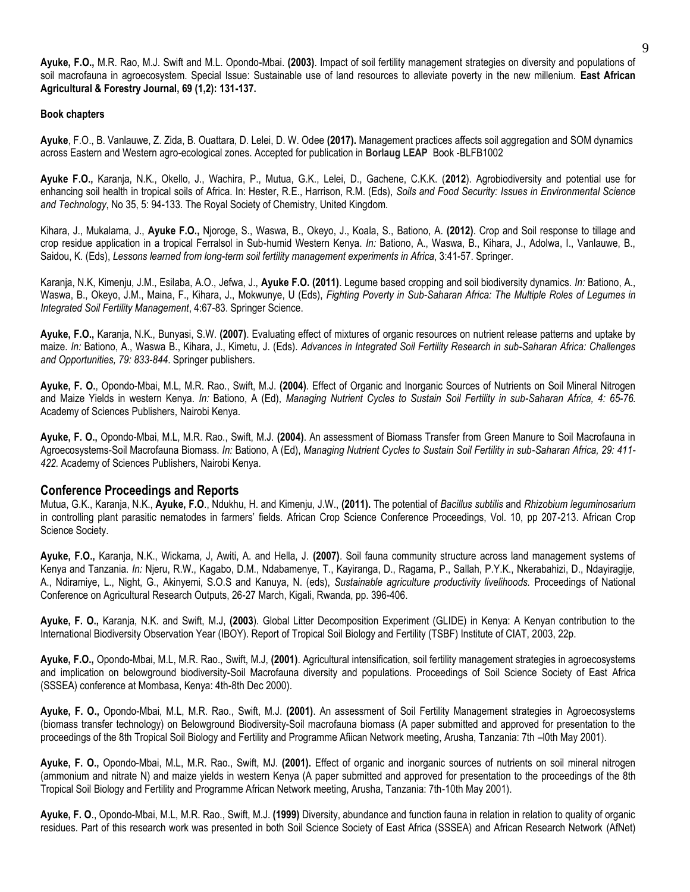**Ayuke, F.O.,** M.R. Rao, M.J. Swift and M.L. Opondo-Mbai. **(2003)**. Impact of soil fertility management strategies on diversity and populations of soil macrofauna in agroecosystem. Special Issue: Sustainable use of land resources to alleviate poverty in the new millenium. **East African Agricultural & Forestry Journal, 69 (1,2): 131-137.**

#### **Book chapters**

**Ayuke**, F.O., B. Vanlauwe, Z. Zida, B. Ouattara, D. Lelei, D. W. Odee **(2017).** Management practices affects soil aggregation and SOM dynamics across Eastern and Western agro-ecological zones. Accepted for publication in **Borlaug LEAP** Book -BLFB1002

**Ayuke F.O.,** Karanja, N.K., Okello, J., Wachira, P., Mutua, G.K., Lelei, D., Gachene, C.K.K. (**2012**). Agrobiodiversity and potential use for enhancing soil health in tropical soils of Africa. In: Hester, R.E., Harrison, R.M. (Eds), *Soils and Food Security: Issues in Environmental Science and Technology*, No 35, 5: 94-133. The Royal Society of Chemistry, United Kingdom.

Kihara, J., Mukalama, J., **Ayuke F.O.,** Njoroge, S., Waswa, B., Okeyo, J., Koala, S., Bationo, A. **(2012)**. Crop and Soil response to tillage and crop residue application in a tropical Ferralsol in Sub-humid Western Kenya. *In:* Bationo, A., Waswa, B., Kihara, J., Adolwa, I., Vanlauwe, B., Saidou, K. (Eds), *Lessons learned from long-term soil fertility management experiments in Africa*, 3:41-57. Springer.

Karanja, N.K, Kimenju, J.M., Esilaba, A.O., Jefwa, J., **Ayuke F.O. (2011)**. Legume based cropping and soil biodiversity dynamics. *In:* Bationo, A., Waswa, B., Okeyo, J.M., Maina, F., Kihara, J., Mokwunye, U (Eds), *Fighting Poverty in Sub-Saharan Africa: The Multiple Roles of Legumes in Integrated Soil Fertility Management*, 4:67-83. Springer Science.

**Ayuke, F.O.,** Karanja, N.K., Bunyasi, S.W. **(2007)**. Evaluating effect of mixtures of organic resources on nutrient release patterns and uptake by maize. *In:* Bationo, A., Waswa B., Kihara, J., Kimetu, J. (Eds). *Advances in Integrated Soil Fertility Research in sub-Saharan Africa: Challenges and Opportunities, 79: 833-844*. Springer publishers.

**Ayuke, F. O.**, Opondo-Mbai, M.L, M.R. Rao., Swift, M.J. **(2004)**. Effect of Organic and Inorganic Sources of Nutrients on Soil Mineral Nitrogen and Maize Yields in western Kenya. *In:* Bationo, A (Ed), *Managing Nutrient Cycles to Sustain Soil Fertility in sub-Saharan Africa, 4: 65-76.* Academy of Sciences Publishers, Nairobi Kenya.

**Ayuke, F. O.,** Opondo-Mbai, M.L, M.R. Rao., Swift, M.J. **(2004)**. An assessment of Biomass Transfer from Green Manure to Soil Macrofauna in Agroecosystems-Soil Macrofauna Biomass. *In:* Bationo, A (Ed), *Managing Nutrient Cycles to Sustain Soil Fertility in sub-Saharan Africa, 29: 411- 422.* Academy of Sciences Publishers, Nairobi Kenya.

#### **Conference Proceedings and Reports**

Mutua, G.K., Karanja, N.K., **Ayuke, F.O**., Ndukhu, H. and Kimenju, J.W., **(2011).** The potential of *Bacillus subtilis* and *Rhizobium leguminosarium* in controlling plant parasitic nematodes in farmers' fields. African Crop Science Conference Proceedings, Vol. 10, pp 207-213. African Crop Science Society.

**Ayuke, F.O.,** Karanja, N.K., Wickama, J, Awiti, A. and Hella, J. **(2007)**. Soil fauna community structure across land management systems of Kenya and Tanzania. *In:* Njeru, R.W., Kagabo, D.M., Ndabamenye, T., Kayiranga, D., Ragama, P., Sallah, P.Y.K., Nkerabahizi, D., Ndayiragije, A., Ndiramiye, L., Night, G., Akinyemi, S.O.S and Kanuya, N. (eds), *Sustainable agriculture productivity livelihoods.* Proceedings of National Conference on Agricultural Research Outputs, 26-27 March, Kigali, Rwanda, pp. 396-406.

**Ayuke, F. O.,** Karanja, N.K. and Swift, M.J, **(2003**). Global Litter Decomposition Experiment (GLIDE) in Kenya: A Kenyan contribution to the International Biodiversity Observation Year (IBOY). Report of Tropical Soil Biology and Fertility (TSBF) Institute of CIAT, 2003, 22p.

**Ayuke, F.O.,** Opondo-Mbai, M.L, M.R. Rao., Swift, M.J, **(2001)**. Agricultural intensification, soil fertility management strategies in agroecosystems and implication on belowground biodiversity-Soil Macrofauna diversity and populations. Proceedings of Soil Science Society of East Africa (SSSEA) conference at Mombasa, Kenya: 4th-8th Dec 2000).

**Ayuke, F. O.,** Opondo-Mbai, M.L, M.R. Rao., Swift, M.J. **(2001)**. An assessment of Soil Fertility Management strategies in Agroecosystems (biomass transfer technology) on Belowground Biodiversity-Soil macrofauna biomass (A paper submitted and approved for presentation to the proceedings of the 8th Tropical Soil Biology and Fertility and Programme Afiican Network meeting, Arusha, Tanzania: 7th –l0th May 2001).

**Ayuke, F. O.,** Opondo-Mbai, M.L, M.R. Rao., Swift, MJ. **(2001).** Effect of organic and inorganic sources of nutrients on soil mineral nitrogen (ammonium and nitrate N) and maize yields in western Kenya (A paper submitted and approved for presentation to the proceedings of the 8th Tropical Soil Biology and Fertility and Programme African Network meeting, Arusha, Tanzania: 7th-10th May 2001).

**Ayuke, F. O**., Opondo-Mbai, M.L, M.R. Rao., Swift, M.J. **(1999)** Diversity, abundance and function fauna in relation in relation to quality of organic residues. Part of this research work was presented in both Soil Science Society of East Africa (SSSEA) and African Research Network (AfNet)